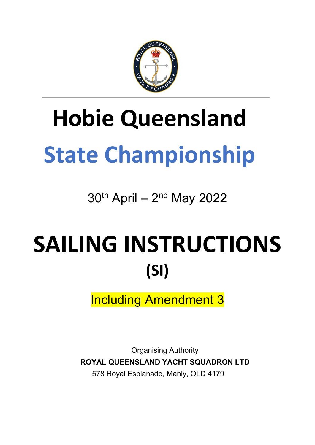

# **Hobie Queensland State Championship**

 $30<sup>th</sup>$  April –  $2<sup>nd</sup>$  May 2022

# SAILING INSTRUCTIONS **(SI)**

Including Amendment 3

Organising Authority **ROYAL QUEENSLAND YACHT SQUADRON LTD** 578 Royal Esplanade, Manly, QLD 4179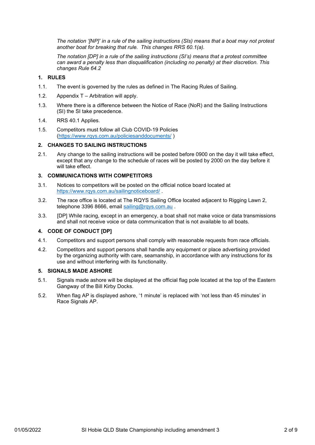*The notation '[NP]' in a rule of the sailing instructions (SIs) means that a boat may not protest another boat for breaking that rule. This changes RRS 60.1(a).* 

*The notation [DP] in a rule of the sailing instructions (SI's) means that a protest committee can award a penalty less than disqualification (including no penalty) at their discretion. This changes Rule 64.2*

# **1. RULES**

- 1.1. The event is governed by the rules as defined in The Racing Rules of Sailing.
- 1.2. Appendix T Arbitration will apply.
- 1.3. Where there is a difference between the Notice of Race (NoR) and the Sailing Instructions (SI) the SI take precedence.
- 1.4. RRS 40.1 Applies.
- 1.5. Competitors must follow all Club COVID-19 Policies [\(https://www.rqys.com.au/policiesanddocuments/](https://www.rqys.com.au/policiesanddocuments/) )

## **2. CHANGES TO SAILING INSTRUCTIONS**

2.1. Any change to the sailing instructions will be posted before 0900 on the day it will take effect, except that any change to the schedule of races will be posted by 2000 on the day before it will take effect.

# **3. COMMUNICATIONS WITH COMPETITORS**

- 3.1. Notices to competitors will be posted on the official notice board located at <https://www.rqys.com.au/sailingnoticeboard/> .
- 3.2. The race office is located at The RQYS Sailing Office located adjacent to Rigging Lawn 2, telephone 3396 8666, email [sailing@rqys.com.au](mailto:sailing@rqys.com.au).
- 3.3. [DP] While racing, except in an emergency, a boat shall not make voice or data transmissions and shall not receive voice or data communication that is not available to all boats.

# **4. CODE OF CONDUCT [DP]**

- 4.1. Competitors and support persons shall comply with reasonable requests from race officials.
- 4.2. Competitors and support persons shall handle any equipment or place advertising provided by the organizing authority with care, seamanship, in accordance with any instructions for its use and without interfering with its functionality.

# **5. SIGNALS MADE ASHORE**

- 5.1. Signals made ashore will be displayed at the official flag pole located at the top of the Eastern Gangway of the Bill Kirby Docks.
- 5.2. When flag AP is displayed ashore, '1 minute' is replaced with 'not less than 45 minutes' in Race Signals AP.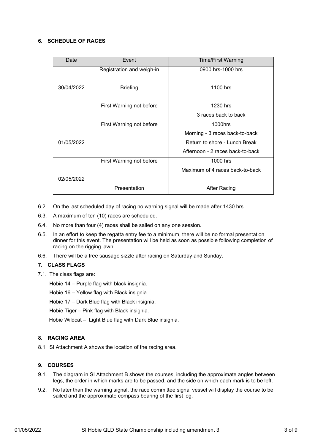# **6. SCHEDULE OF RACES**

| Date       | Event                     | <b>Time/First Warning</b>        |  |  |  |
|------------|---------------------------|----------------------------------|--|--|--|
|            | Registration and weigh-in | 0900 hrs-1000 hrs                |  |  |  |
|            |                           |                                  |  |  |  |
| 30/04/2022 | <b>Briefing</b>           | 1100 hrs                         |  |  |  |
|            |                           |                                  |  |  |  |
|            | First Warning not before  | 1230 hrs                         |  |  |  |
|            |                           | 3 races back to back             |  |  |  |
|            | First Warning not before  | 1000hrs                          |  |  |  |
|            |                           | Morning - 3 races back-to-back   |  |  |  |
| 01/05/2022 |                           | Return to shore - Lunch Break    |  |  |  |
|            |                           | Afternoon - 2 races back-to-back |  |  |  |
|            | First Warning not before  | 1000 hrs                         |  |  |  |
|            |                           | Maximum of 4 races back-to-back  |  |  |  |
| 02/05/2022 |                           |                                  |  |  |  |
|            | Presentation              | <b>After Racing</b>              |  |  |  |

- 6.2. On the last scheduled day of racing no warning signal will be made after 1430 hrs.
- 6.3. A maximum of ten (10) races are scheduled.
- 6.4. No more than four (4) races shall be sailed on any one session.
- 6.5. In an effort to keep the regatta entry fee to a minimum, there will be no formal presentation dinner for this event. The presentation will be held as soon as possible following completion of racing on the rigging lawn.
- 6.6. There will be a free sausage sizzle after racing on Saturday and Sunday.

# **7. CLASS FLAGS**

7.1. The class flags are:

Hobie 14 – Purple flag with black insignia.

Hobie 16 – Yellow flag with Black insignia.

Hobie 17 – Dark Blue flag with Black insignia.

Hobie Tiger – Pink flag with Black insignia.

Hobie Wildcat – Light Blue flag with Dark Blue insignia.

# **8. RACING AREA**

8.1 SI Attachment A shows the location of the racing area.

# **9. COURSES**

- 9.1. The diagram in SI Attachment B shows the courses, including the approximate angles between legs, the order in which marks are to be passed, and the side on which each mark is to be left.
- 9.2. No later than the warning signal, the race committee signal vessel will display the course to be sailed and the approximate compass bearing of the first leg.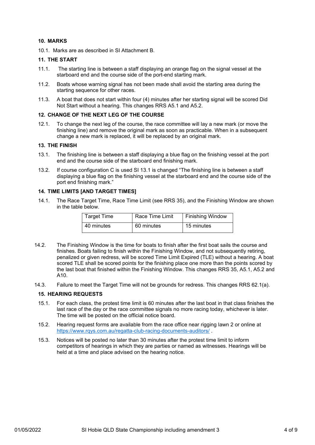# **10. MARKS**

10.1. Marks are as described in SI Attachment B.

### **11. THE START**

- 11.1. The starting line is between a staff displaying an orange flag on the signal vessel at the starboard end and the course side of the port-end starting mark.
- 11.2. Boats whose warning signal has not been made shall avoid the starting area during the starting sequence for other races.
- 11.3. A boat that does not start within four (4) minutes after her starting signal will be scored Did Not Start without a hearing. This changes RRS A5.1 and A5.2.

# **12. CHANGE OF THE NEXT LEG OF THE COURSE**

12.1. To change the next leg of the course, the race committee will lay a new mark (or move the finishing line) and remove the original mark as soon as practicable. When in a subsequent change a new mark is replaced, it will be replaced by an original mark.

#### **13. THE FINISH**

- 13.1. The finishing line is between a staff displaying a blue flag on the finishing vessel at the port end and the course side of the starboard end finishing mark.
- 13.2. If course configuration C is used SI 13.1 is changed "The finishing line is between a staff displaying a blue flag on the finishing vessel at the starboard end and the course side of the port end finishing mark."

#### **14. TIME LIMITS [AND TARGET TIMES]**

14.1. The Race Target Time, Race Time Limit (see RRS 35), and the Finishing Window are shown in the table below.

| <b>Target Time</b> | Race Time Limit | <b>Finishing Window</b> |  |  |  |
|--------------------|-----------------|-------------------------|--|--|--|
| 40 minutes         | 60 minutes      | 15 minutes              |  |  |  |

- 14.2. The Finishing Window is the time for boats to finish after the first boat sails the course and finishes. Boats failing to finish within the Finishing Window, and not subsequently retiring, penalized or given redress, will be scored Time Limit Expired (TLE) without a hearing. A boat scored TLE shall be scored points for the finishing place one more than the points scored by the last boat that finished within the Finishing Window. This changes RRS 35, A5.1, A5.2 and A10.
- 14.3. Failure to meet the Target Time will not be grounds for redress. This changes RRS 62.1(a).

#### **15. HEARING REQUESTS**

- 15.1. For each class, the protest time limit is 60 minutes after the last boat in that class finishes the last race of the day or the race committee signals no more racing today, whichever is later. The time will be posted on the official notice board.
- 15.2. Hearing request forms are available from the race office near rigging lawn 2 or online at <https://www.rqys.com.au/regatta-club-racing-documents-auditors/> .
- 15.3. Notices will be posted no later than 30 minutes after the protest time limit to inform competitors of hearings in which they are parties or named as witnesses. Hearings will be held at a time and place advised on the hearing notice.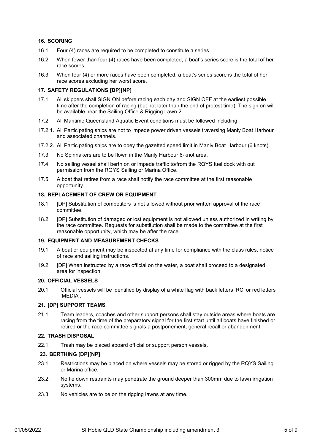# **16. SCORING**

- 16.1. Four (4) races are required to be completed to constitute a series.
- 16.2. When fewer than four (4) races have been completed, a boat's series score is the total of her race scores.
- 16.3. When four (4) or more races have been completed, a boat's series score is the total of her race scores excluding her worst score.

# **17. SAFETY REGULATIONS [DP][NP]**

- 17.1. All skippers shall SIGN ON before racing each day and SIGN OFF at the earliest possible time after the completion of racing (but not later than the end of protest time). The sign on will be available near the Sailing Office & Rigging Lawn 2.
- 17.2. All Maritime Queensland Aquatic Event conditions must be followed including:
- 17.2.1. All Participating ships are not to impede power driven vessels traversing Manly Boat Harbour and associated channels.
- 17.2.2. All Participating ships are to obey the gazetted speed limit in Manly Boat Harbour (6 knots).
- 17.3. No Spinnakers are to be flown in the Manly Harbour 6-knot area.
- 17.4. No sailing vessel shall berth on or impede traffic to/from the RQYS fuel dock with out permission from the RQYS Sailing or Marina Office.
- 17.5. A boat that retires from a race shall notify the race committee at the first reasonable opportunity.

#### **18. REPLACEMENT OF CREW OR EQUIPMENT**

- 18.1. [DP] Substitution of competitors is not allowed without prior written approval of the race committee.
- 18.2. [DP] Substitution of damaged or lost equipment is not allowed unless authorized in writing by the race committee. Requests for substitution shall be made to the committee at the first reasonable opportunity, which may be after the race.

#### **19. EQUIPMENT AND MEASUREMENT CHECKS**

- 19.1. A boat or equipment may be inspected at any time for compliance with the class rules, notice of race and sailing instructions.
- 19.2. [DP] When instructed by a race official on the water, a boat shall proceed to a designated area for inspection.

### **20. OFFICIAL VESSELS**

20.1. Official vessels will be identified by display of a white flag with back letters 'RC' or red letters 'MEDIA'.

# **21. [DP] SUPPORT TEAMS**

21.1. Team leaders, coaches and other support persons shall stay outside areas where boats are racing from the time of the preparatory signal for the first start until all boats have finished or retired or the race committee signals a postponement, general recall or abandonment.

#### **22. TRASH DISPOSAL**

22.1. Trash may be placed aboard official or support person vessels.

# **23. BERTHING [DP][NP]**

- 23.1. Restrictions may be placed on where vessels may be stored or rigged by the RQYS Sailing or Marina office.
- 23.2. No tie down restraints may penetrate the ground deeper than 300mm due to lawn irrigation systems.
- 23.3. No vehicles are to be on the rigging lawns at any time.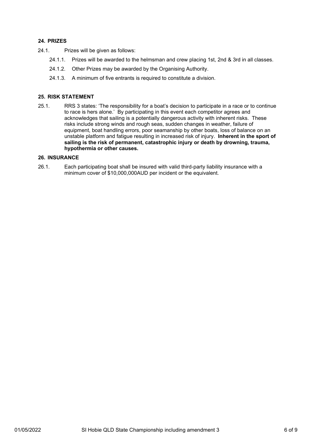# **24. PRIZES**

- 24.1. Prizes will be given as follows:
	- 24.1.1. Prizes will be awarded to the helmsman and crew placing 1st, 2nd & 3rd in all classes.
	- 24.1.2. Other Prizes may be awarded by the Organising Authority.
	- 24.1.3. A minimum of five entrants is required to constitute a division.

#### **25. RISK STATEMENT**

25.1. RRS 3 states: 'The responsibility for a boat's decision to participate in a race or to continue to race is hers alone.' By participating in this event each competitor agrees and acknowledges that sailing is a potentially dangerous activity with inherent risks. These risks include strong winds and rough seas, sudden changes in weather, failure of equipment, boat handling errors, poor seamanship by other boats, loss of balance on an unstable platform and fatigue resulting in increased risk of injury. **Inherent in the sport of sailing is the risk of permanent, catastrophic injury or death by drowning, trauma, hypothermia or other causes.**

# **26. INSURANCE**

26.1. Each participating boat shall be insured with valid third-party liability insurance with a minimum cover of \$10,000,000AUD per incident or the equivalent.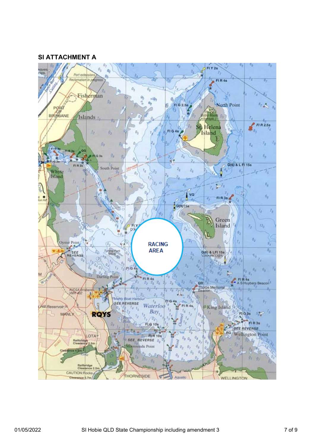# **SI ATTACHMENT A**

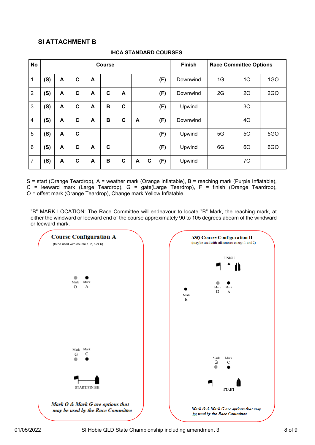# **SI ATTACHMENT B**

| <b>No</b>      | <b>Course</b> |   |   |   |             |             |   |   |     | <b>Finish</b> | <b>Race Committee Options</b> |    |            |
|----------------|---------------|---|---|---|-------------|-------------|---|---|-----|---------------|-------------------------------|----|------------|
| 1              | (S)           | A | C | A |             |             |   |   | (F) | Downwind      | 1G                            | 10 | 1GO        |
| $\overline{2}$ | (S)           | A | C | A | C           | A           |   |   | (F) | Downwind      | 2G                            | 20 | 2GO        |
| 3              | (S)           | A | C | A | B           | C           |   |   | (F) | Upwind        |                               | 30 |            |
| 4              | (S)           | A | C | A | B           | C           | A |   | (F) | Downwind      |                               | 40 |            |
| 5              | (S)           | A | C |   |             |             |   |   | (F) | Upwind        | 5G                            | 50 | <b>5GO</b> |
| 6              | (S)           | A | C | A | $\mathbf c$ |             |   |   | (F) | Upwind        | 6G                            | 60 | 6GO        |
| 7              | (S)           | A | C | A | B           | $\mathbf c$ | A | C | (F) | Upwind        |                               | 70 |            |

# **IHCA STANDARD COURSES**

S = start (Orange Teardrop), A = weather mark (Orange Inflatable), B = reaching mark (Purple Inflatable),  $C =$  leeward mark (Large Teardrop),  $G =$  gate(Large Teardrop),  $F =$  finish (Orange Teardrop), O = offset mark (Orange Teardrop), Change mark Yellow Inflatable.

"B" MARK LOCATION: The Race Committee will endeavour to locate "B" Mark, the reaching mark, at either the windward or leeward end of the course approximately 90 to 105 degrees abeam of the windward or leeward mark.